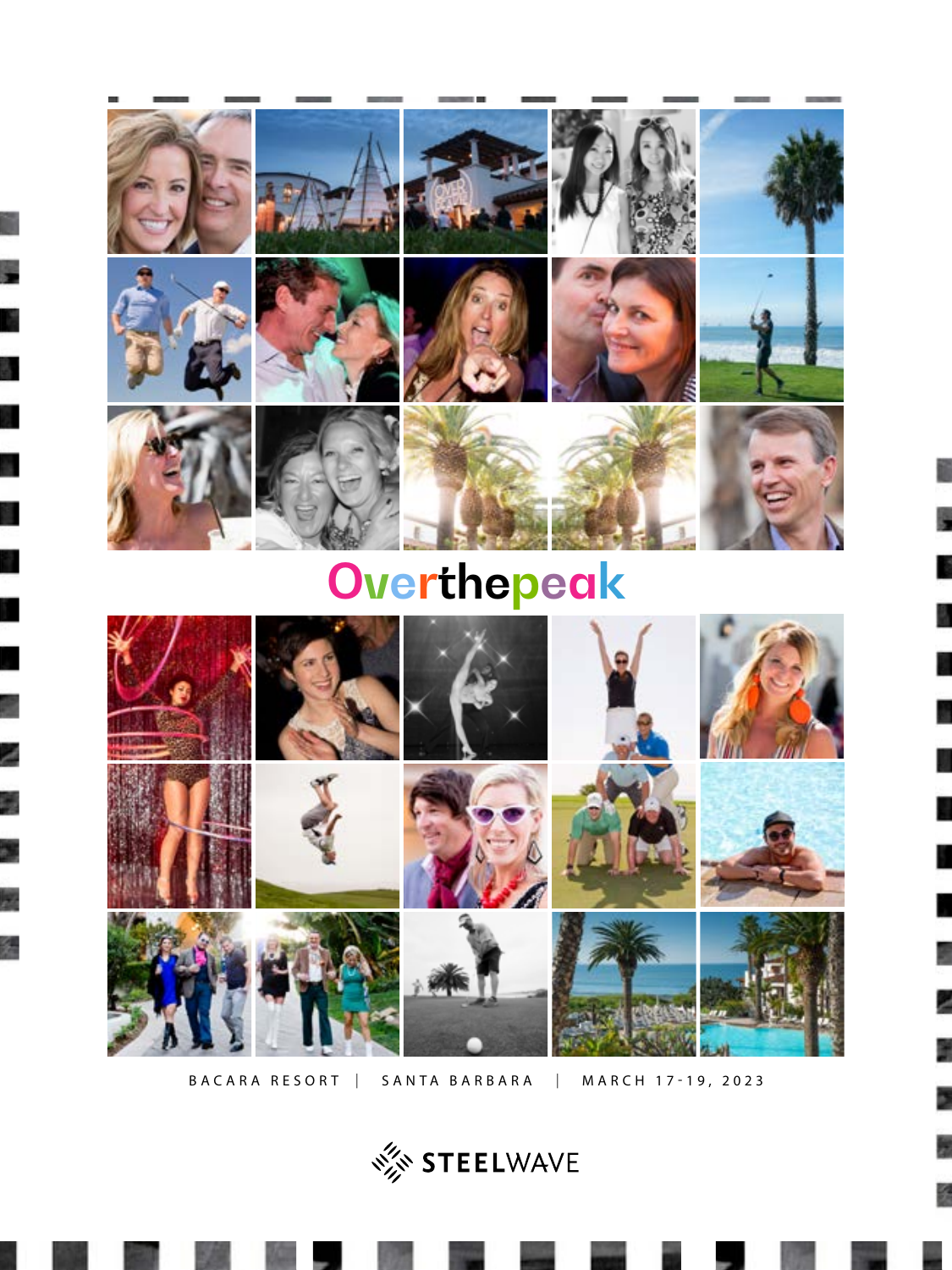

# **Over thepeak**

ä

۲

ś

Ø



BACARA RESORT | SANTA BARBARA | MARCH 17-19, 2023

š

þ